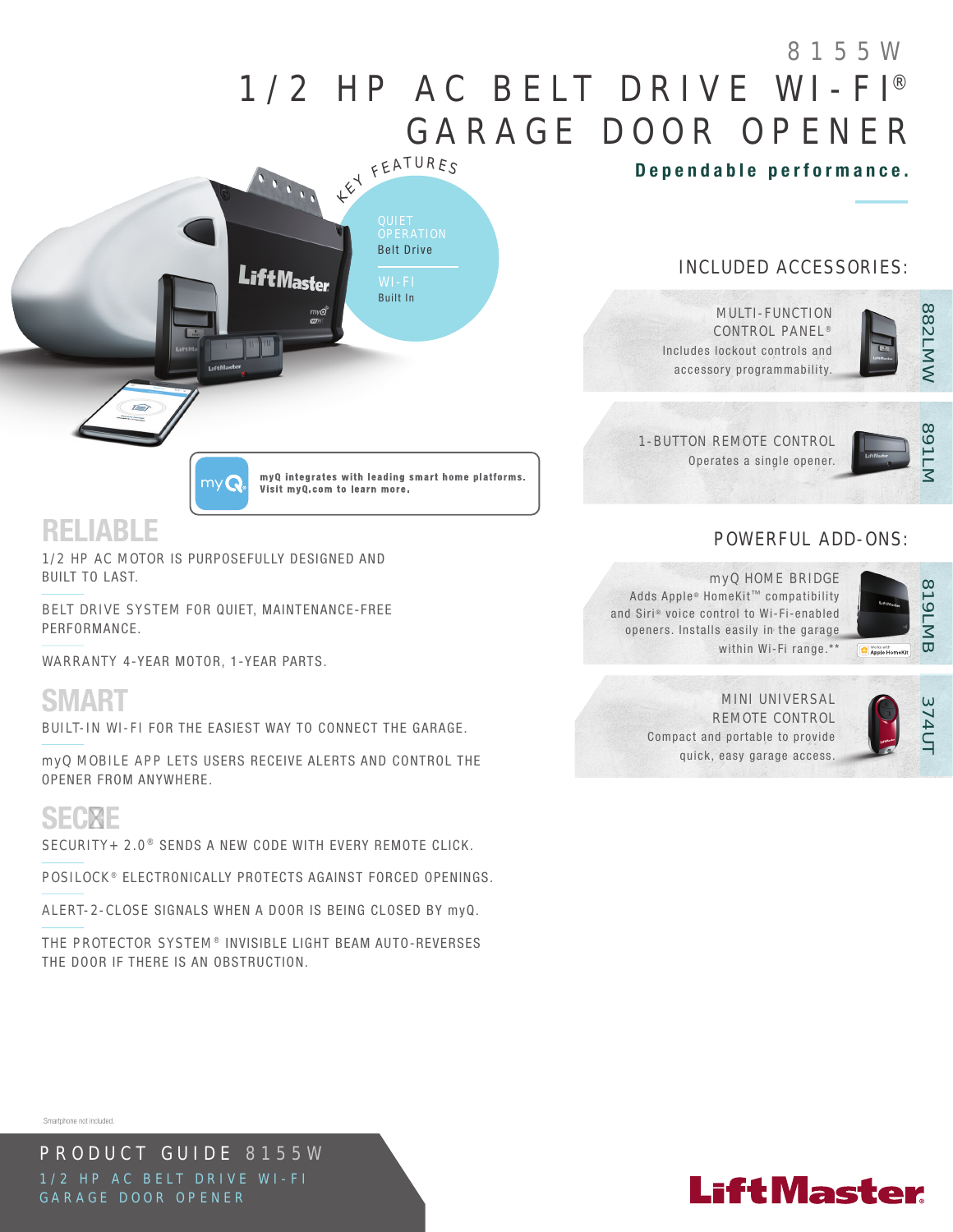# 1/2 HP AC BELT DRIVE WI-FI® GARAGE DOOR OPENER 8155W

Dependable performance.

### INCLUDED ACCESSORIES:



MULTI-FUNCTION CONTROL PANEL<sup>®</sup> Includes lockout controls and accessory programmability.



1-BUTTON REMOTE CONTROL Operates a single opener.



82<br>MMW

882LMW

## POWERFUL ADD-ONS:



#### myQ HOME BRIDGE Adds Apple® HomeKit™ compatibility and Siri® voice control to Wi-Fi-enabled openers. Installs easily in the garage within Wi-Fi range.\*\*



#### MINI UNIVERSAL REMOTE CONTROL Compact and portable to provide quick, easy garage access.



## SECURE

Smartphone not included.

SECURITY+ 2.0<sup>®</sup> SENDS A NEW CODE WITH EVERY REMOTE CLICK.

POSILOCK<sup>®</sup> ELECTRONICALLY PROTECTS AGAINST FORCED OPENINGS.

ALERT-2-CLOSE SIGNALS WHEN A DOOR IS BEING CLOSED BY myQ.

THE PROTECTOR SYSTEM® INVISIBLE LIGHT BEAM AUTO-REVERSES THE DOOR IF THERE IS AN OBSTRUCTION.



myQ integrates with leading smart home platforms.

Visit my Q.com to learn more.

## RELIABLE

1/2 HP AC MOTOR IS PURPOSEFULLY DESIGNED AND BUILT TO LAST.

 $myQ$ 

BELT DRIVE SYSTEM FOR QUIET, MAINTENANCE-FREE PERFORMANCE.

WARRANTY 4-YEAR MOTOR, 1-YEAR PARTS.

SMART

BUILT-IN WI-FI FOR THE EASIEST WAY TO CONNECT THE GARAGE.

myQ MOBILE APP LETS USERS RECEIVE ALERTS AND CONTROL THE OPENER FROM ANYWHERE.

PRODUCT GUIDE 8155W 1/2 HP AC BELT DRIVE WI-FI GARAGE DOOR OPENER

# **LiftMaster**